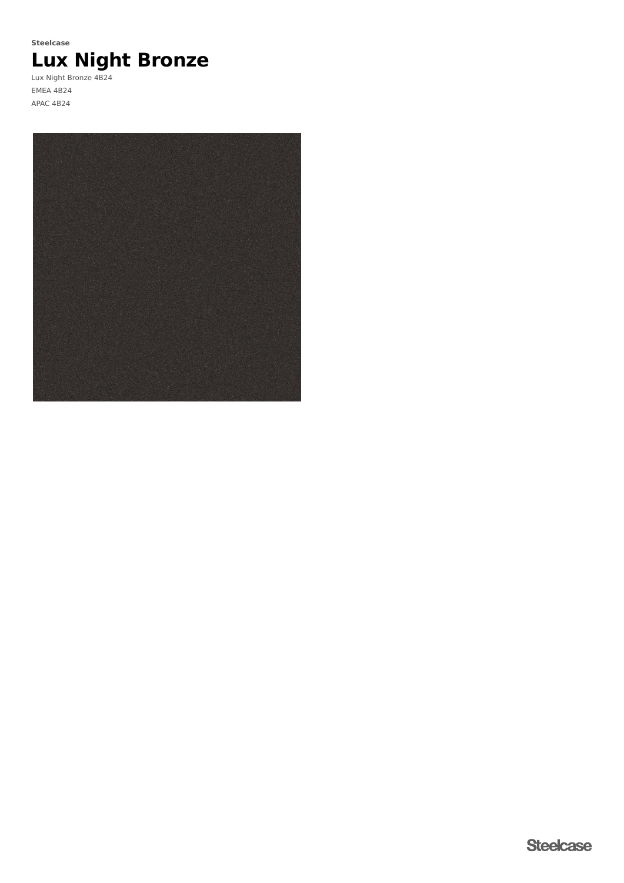# **Lux Night Bronze Steelcase**

Lux Night Bronze 4B24 EMEA 4B24 APAC 4B24

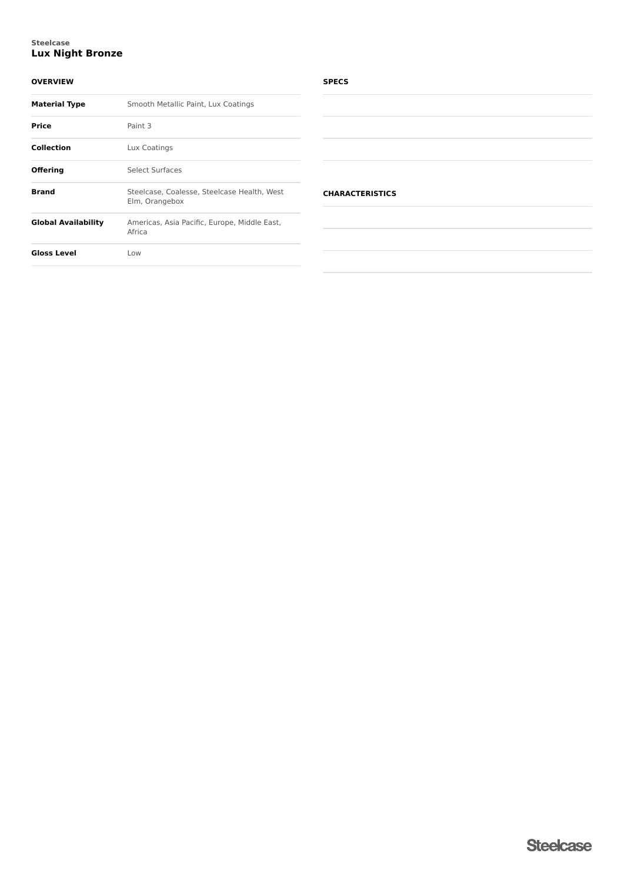#### **Lux Night Bronze Steelcase**

#### **OVERVIEW**

| <b>Material Type</b>       | Smooth Metallic Paint, Lux Coatings                           |
|----------------------------|---------------------------------------------------------------|
| <b>Price</b>               | Paint 3                                                       |
| <b>Collection</b>          | Lux Coatings                                                  |
| Offering                   | Select Surfaces                                               |
| <b>Brand</b>               | Steelcase, Coalesse, Steelcase Health, West<br>Elm, Orangebox |
| <b>Global Availability</b> | Americas, Asia Pacific, Europe, Middle East,<br>Africa        |
| <b>Gloss Level</b>         | Low                                                           |

#### **SPECS**

| <b>CHARACTERISTICS</b> |  |  |  |
|------------------------|--|--|--|
|                        |  |  |  |